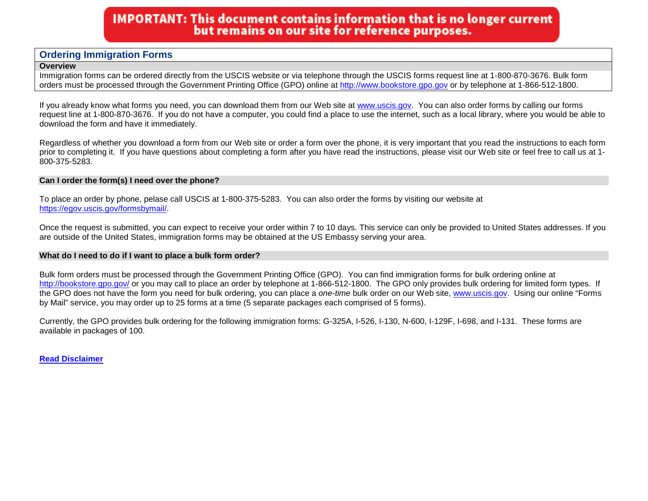# **IMPORTANT: This document contains information that is no longer current** but remains on our site for reference purposes.

# <span id="page-0-0"></span>**Ordering Immigration Forms**

#### **Overview**

Immigration forms can be ordered directly from the USCIS website or via telephone through the USCIS forms request line at 1-800-870-3676. Bulk form orders must be processed through the Government Printing Office (GPO) online at [http://www.bookstore.gpo.gov](http://www.bookstore.gpo.gov/) or by telephone at 1-866-512-1800.

If you already know what forms you need, you can download them from our Web site at [www.uscis.gov.](http://www.uscis.gov/) You can also order forms by calling our forms request line at 1-800-870-3676. If you do not have a computer, you could find a place to use the internet, such as a local library, where you would be able to download the form and have it immediately.

Regardless of whether you download a form from our Web site or order a form over the phone, it is very important that you read the instructions to each form prior to completing it. If you have questions about completing a form after you have read the instructions, please visit our Web site or feel free to call us at 1-800-375-5283.

### **Can I order the form(s) I need over the phone?**

To place an order by phone, pelase call USCIS at 1-800-375-5283. You can also order the forms by visiting our website at [https://egov.uscis.gov/formsbymail/.](https://egov.uscis.gov/formsbymail/)

Once the request is submitted, you can expect to receive your order within 7 to 10 days. This service can only be provided to United States addresses. If you are outside of the United States, immigration forms may be obtained at the US Embassy serving your area.

## **What do I need to do if I want to place a bulk form order?**

Bulk form orders must be processed through the Government Printing Office (GPO). You can find immigration forms for bulk ordering online at <http://bookstore.gpo.gov/> or you may call to place an order by telephone at 1-866-512-1800. The GPO only provides bulk ordering for limited form types. If the GPO does not have the form you need for bulk ordering, you can place a *one-time* bulk order on our Web site, [www.uscis.gov.](http://www.uscis.gov/) Using our online "Forms by Mail" service, you may order up to 25 forms at a time (5 separate packages each comprised of 5 forms).

Currently, the GPO provides bulk ordering for the following immigration forms: G-325A, I-526, I-130, N-600, I-129F, I-698, and I-131. These forms are available in packages of 100.

**[Read Disclaimer](#page-1-0)**